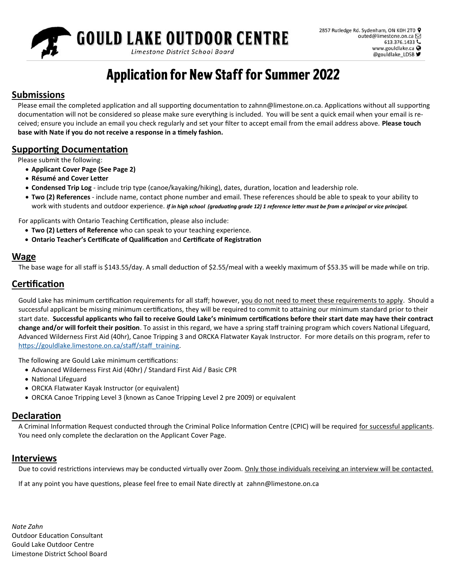

# Application for New Staff for Summer 2022

## **Submissions**

Please email the completed application and all supporting documentation to zahnn@limestone.on.ca. Applications without all supporting documentation will not be considered so please make sure everything is included. You will be sent a quick email when your email is received; ensure you include an email you check regularly and set your filter to accept email from the email address above. **Please touch base with Nate if you do not receive a response in a timely fashion.**

# **Supporting Documentation**

Please submit the following:

- **Applicant Cover Page (See Page 2)**
- **Résumé and Cover Letter**
- **Condensed Trip Log**  include trip type (canoe/kayaking/hiking), dates, duration, location and leadership role.
- **Two (2) References**  include name, contact phone number and email. These references should be able to speak to your ability to work with students and outdoor experience. *If in high school (graduating grade 12) 1 reference letter must be from a principal or vice principal.*

For applicants with Ontario Teaching Certification, please also include:

- **Two (2) Letters of Reference** who can speak to your teaching experience.
- **Ontario Teacher's Certificate of Qualification** and **Certificate of Registration**

#### **Wage**

The base wage for all staff is \$143.55/day. A small deduction of \$2.55/meal with a weekly maximum of \$53.35 will be made while on trip.

### **Certification**

Gould Lake has minimum certification requirements for all staff; however, you do not need to meet these requirements to apply. Should a successful applicant be missing minimum certifications, they will be required to commit to attaining our minimum standard prior to their start date. **Successful applicants who fail to receive Gould Lake's minimum certifications before their start date may have their contract change and/or will forfeit their position**. To assist in this regard, we have a spring staff training program which covers National Lifeguard, Advanced Wilderness First Aid (40hr), Canoe Tripping 3 and ORCKA Flatwater Kayak Instructor. For more details on this program, refer to [https://gouldlake.limestone.on.ca/staff/staff\\_training.](https://gouldlake.limestone.on.ca/staff/staff_training)

The following are Gould Lake minimum certifications:

- Advanced Wilderness First Aid (40hr) / Standard First Aid / Basic CPR
- National Lifeguard
- ORCKA Flatwater Kayak Instructor (or equivalent)
- ORCKA Canoe Tripping Level 3 (known as Canoe Tripping Level 2 pre 2009) or equivalent

#### **Declaration**

A Criminal Information Request conducted through the Criminal Police Information Centre (CPIC) will be required for successful applicants. You need only complete the declaration on the Applicant Cover Page.

#### **Interviews**

Due to covid restrictions interviews may be conducted virtually over Zoom. Only those individuals receiving an interview will be contacted.

If at any point you have questions, please feel free to email Nate directly at zahnn@limestone.on.ca

*Nate Zahn* Outdoor Education Consultant Gould Lake Outdoor Centre Limestone District School Board